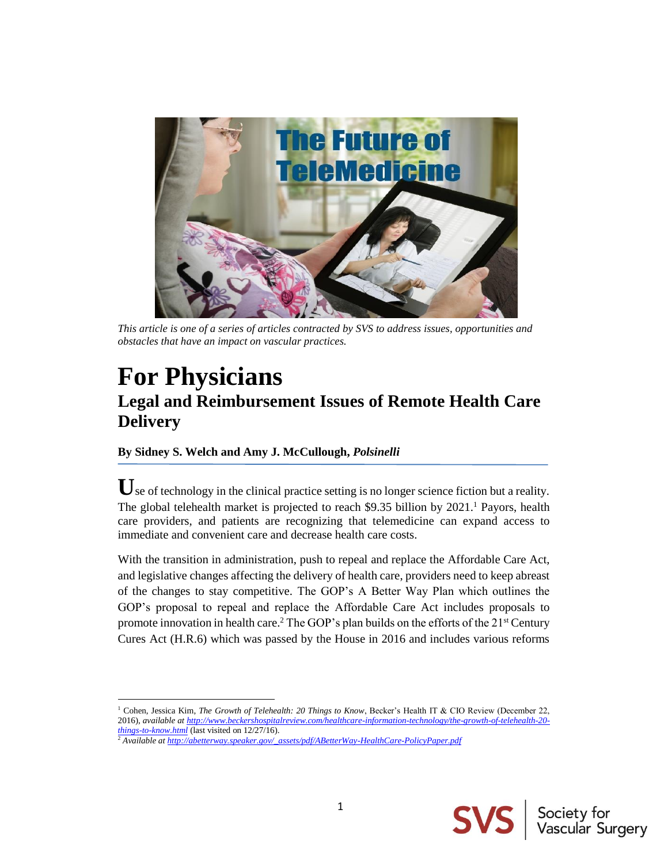

*This article is one of a series of articles contracted by SVS to address issues, opportunities and obstacles that have an impact on vascular practices.*

# **For Physicians Legal and Reimbursement Issues of Remote Health Care Delivery**

### **By Sidney S. Welch and Amy J. McCullough,** *Polsinelli*

Use of technology in the clinical practice setting is no longer science fiction but a reality. The global telehealth market is projected to reach \$9.35 billion by 2021.<sup>1</sup> Payors, health care providers, and patients are recognizing that telemedicine can expand access to immediate and convenient care and decrease health care costs.

With the transition in administration, push to repeal and replace the Affordable Care Act, and legislative changes affecting the delivery of health care, providers need to keep abreast of the changes to stay competitive. The GOP's A Better Way Plan which outlines the GOP's proposal to repeal and replace the Affordable Care Act includes proposals to promote innovation in health care.<sup>2</sup> The GOP's plan builds on the efforts of the  $21<sup>st</sup>$  Century Cures Act (H.R.6) which was passed by the House in 2016 and includes various reforms

<sup>1</sup> Cohen, Jessica Kim, *The Growth of Telehealth: 20 Things to Know*, Becker's Health IT & CIO Review (December 22, 2016), *available a[t http://www.beckershospitalreview.com/healthcare-information-technology/the-growth-of-telehealth-20](http://www.beckershospitalreview.com/healthcare-information-technology/the-growth-of-telehealth-20-things-to-know.html) [things-to-know.html](http://www.beckershospitalreview.com/healthcare-information-technology/the-growth-of-telehealth-20-things-to-know.html)* (last visited on 12/27/16).

l



<sup>2</sup> *Available a[t http://abetterway.speaker.gov/\\_assets/pdf/ABetterWay-HealthCare-PolicyPaper.pdf](http://abetterway.speaker.gov/_assets/pdf/ABetterWay-HealthCare-PolicyPaper.pdf)*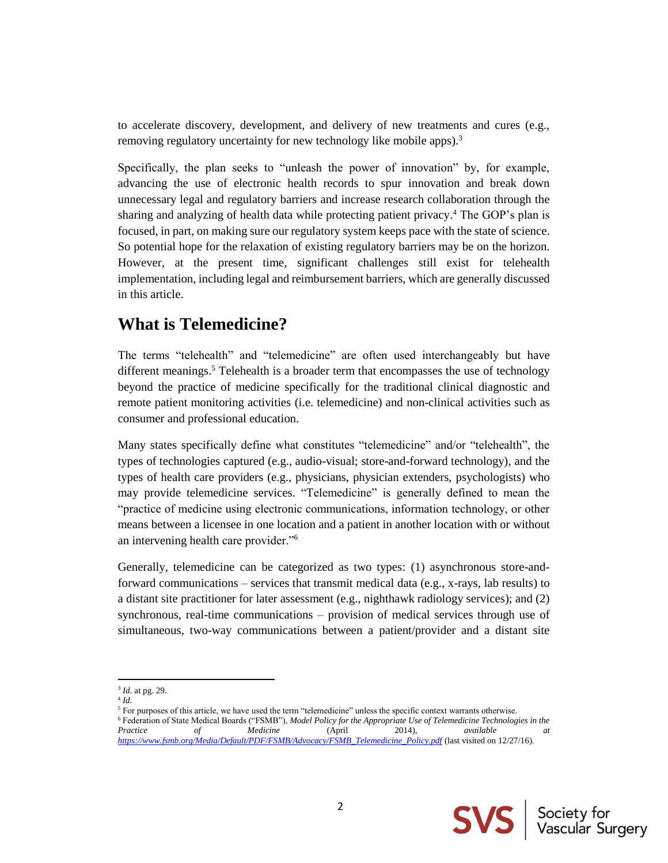to accelerate discovery, development, and delivery of new treatments and cures (e.g., removing regulatory uncertainty for new technology like mobile apps).<sup>3</sup>

Specifically, the plan seeks to "unleash the power of innovation" by, for example, advancing the use of electronic health records to spur innovation and break down unnecessary legal and regulatory barriers and increase research collaboration through the sharing and analyzing of health data while protecting patient privacy. <sup>4</sup> The GOP's plan is focused, in part, on making sure our regulatory system keeps pace with the state of science. So potential hope for the relaxation of existing regulatory barriers may be on the horizon. However, at the present time, significant challenges still exist for telehealth implementation, including legal and reimbursement barriers, which are generally discussed in this article.

# **What is Telemedicine?**

The terms "telehealth" and "telemedicine" are often used interchangeably but have different meanings.<sup>5</sup> Telehealth is a broader term that encompasses the use of technology beyond the practice of medicine specifically for the traditional clinical diagnostic and remote patient monitoring activities (i.e. telemedicine) and non-clinical activities such as consumer and professional education.

Many states specifically define what constitutes "telemedicine" and/or "telehealth", the types of technologies captured (e.g., audio-visual; store-and-forward technology), and the types of health care providers (e.g., physicians, physician extenders, psychologists) who may provide telemedicine services. "Telemedicine" is generally defined to mean the "practice of medicine using electronic communications, information technology, or other means between a licensee in one location and a patient in another location with or without an intervening health care provider."<sup>6</sup>

Generally, telemedicine can be categorized as two types: (1) asynchronous store-andforward communications – services that transmit medical data (e.g., x-rays, lab results) to a distant site practitioner for later assessment (e.g., nighthawk radiology services); and (2) synchronous, real-time communications – provision of medical services through use of simultaneous, two-way communications between a patient/provider and a distant site

l



<sup>3</sup> *Id.* at pg. 29.

<sup>4</sup> *Id.*

<sup>&</sup>lt;sup>5</sup> For purposes of this article, we have used the term "telemedicine" unless the specific context warrants otherwise.

<sup>6</sup> Federation of State Medical Boards ("FSMB"), *Model Policy for the Appropriate Use of Telemedicine Technologies in the Practice of Medicine* (April 2014), *available at [https://www.fsmb.org/Media/Default/PDF/FSMB/Advocacy/FSMB\\_Telemedicine\\_Policy.pdf](https://www.fsmb.org/Media/Default/PDF/FSMB/Advocacy/FSMB_Telemedicine_Policy.pdf)* (last visited on 12/27/16).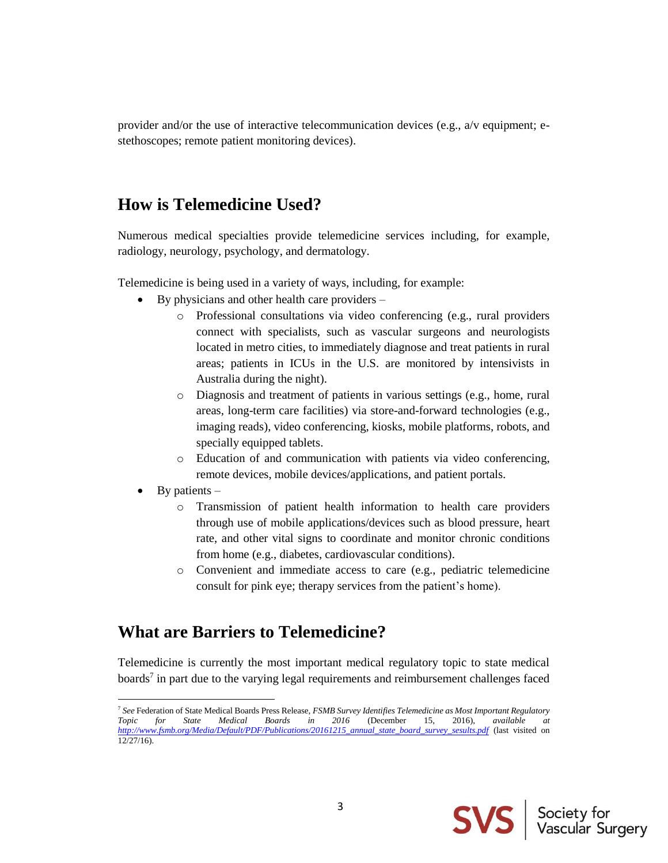provider and/or the use of interactive telecommunication devices (e.g., a/v equipment; estethoscopes; remote patient monitoring devices).

# **How is Telemedicine Used?**

Numerous medical specialties provide telemedicine services including, for example, radiology, neurology, psychology, and dermatology.

Telemedicine is being used in a variety of ways, including, for example:

- By physicians and other health care providers
	- o Professional consultations via video conferencing (e.g., rural providers connect with specialists, such as vascular surgeons and neurologists located in metro cities, to immediately diagnose and treat patients in rural areas; patients in ICUs in the U.S. are monitored by intensivists in Australia during the night).
	- o Diagnosis and treatment of patients in various settings (e.g., home, rural areas, long-term care facilities) via store-and-forward technologies (e.g., imaging reads), video conferencing, kiosks, mobile platforms, robots, and specially equipped tablets.
	- o Education of and communication with patients via video conferencing, remote devices, mobile devices/applications, and patient portals.
- By patients  $-$

l

- o Transmission of patient health information to health care providers through use of mobile applications/devices such as blood pressure, heart rate, and other vital signs to coordinate and monitor chronic conditions from home (e.g., diabetes, cardiovascular conditions).
- o Convenient and immediate access to care (e.g., pediatric telemedicine consult for pink eye; therapy services from the patient's home).

## **What are Barriers to Telemedicine?**

Telemedicine is currently the most important medical regulatory topic to state medical boards<sup>7</sup> in part due to the varying legal requirements and reimbursement challenges faced



<sup>7</sup> *See* Federation of State Medical Boards Press Release, *FSMB Survey Identifies Telemedicine as Most Important Regulatory Topic for State Medical Boards in 2016* (December 15, 2016), *available at [http://www.fsmb.org/Media/Default/PDF/Publications/20161215\\_annual\\_state\\_board\\_survey\\_sesults.pdf](http://www.fsmb.org/Media/Default/PDF/Publications/20161215_annual_state_board_survey_sesults.pdf)* (last visited on 12/27/16).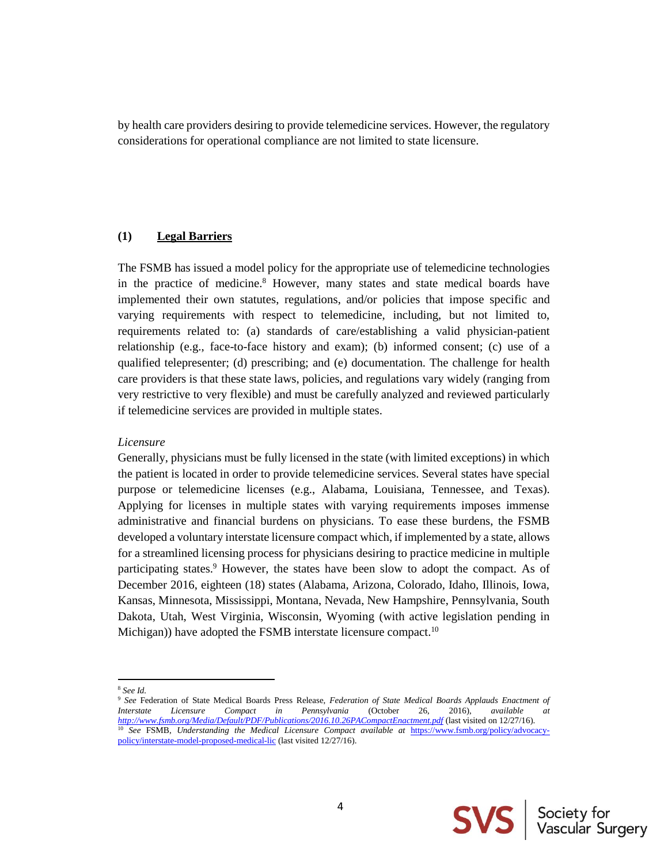by health care providers desiring to provide telemedicine services. However, the regulatory considerations for operational compliance are not limited to state licensure.

### **(1) Legal Barriers**

The FSMB has issued a model policy for the appropriate use of telemedicine technologies in the practice of medicine.<sup>8</sup> However, many states and state medical boards have implemented their own statutes, regulations, and/or policies that impose specific and varying requirements with respect to telemedicine, including, but not limited to, requirements related to: (a) standards of care/establishing a valid physician-patient relationship (e.g., face-to-face history and exam); (b) informed consent; (c) use of a qualified telepresenter; (d) prescribing; and (e) documentation. The challenge for health care providers is that these state laws, policies, and regulations vary widely (ranging from very restrictive to very flexible) and must be carefully analyzed and reviewed particularly if telemedicine services are provided in multiple states.

#### *Licensure*

Generally, physicians must be fully licensed in the state (with limited exceptions) in which the patient is located in order to provide telemedicine services. Several states have special purpose or telemedicine licenses (e.g., Alabama, Louisiana, Tennessee, and Texas). Applying for licenses in multiple states with varying requirements imposes immense administrative and financial burdens on physicians. To ease these burdens, the FSMB developed a voluntary interstate licensure compact which, if implemented by a state, allows for a streamlined licensing process for physicians desiring to practice medicine in multiple participating states.<sup>9</sup> However, the states have been slow to adopt the compact. As of December 2016, eighteen (18) states (Alabama, Arizona, Colorado, Idaho, Illinois, Iowa, Kansas, Minnesota, Mississippi, Montana, Nevada, New Hampshire, Pennsylvania, South Dakota, Utah, West Virginia, Wisconsin, Wyoming (with active legislation pending in Michigan)) have adopted the FSMB interstate licensure compact.<sup>10</sup>

l



<sup>8</sup> *See Id.*

<sup>9</sup> *See* Federation of State Medical Boards Press Release, *Federation of State Medical Boards Applauds Enactment of Interstate Licensure Compact in Pennsylvania* (October 26, 2016), *available at <http://www.fsmb.org/Media/Default/PDF/Publications/2016.10.26PACompactEnactment.pdf>* (last visited on 12/27/16). <sup>10</sup> *See* FSMB, *Understanding the Medical Licensure Compact available at* [https://www.fsmb.org/policy/advocacy](https://www.fsmb.org/policy/advocacy-policy/interstate-model-proposed-medical-lic)[policy/interstate-model-proposed-medical-lic](https://www.fsmb.org/policy/advocacy-policy/interstate-model-proposed-medical-lic) (last visited 12/27/16).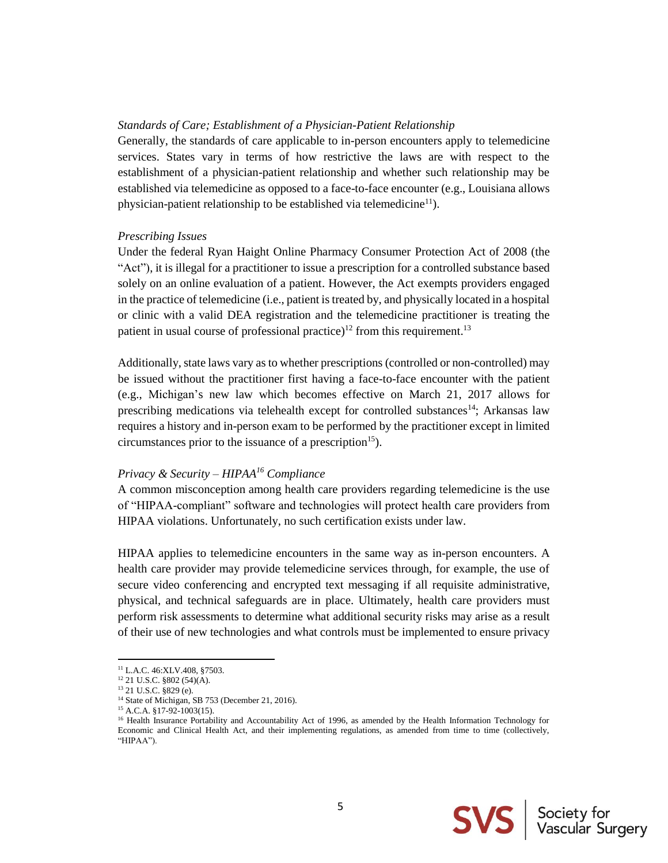#### *Standards of Care; Establishment of a Physician-Patient Relationship*

Generally, the standards of care applicable to in-person encounters apply to telemedicine services. States vary in terms of how restrictive the laws are with respect to the establishment of a physician-patient relationship and whether such relationship may be established via telemedicine as opposed to a face-to-face encounter (e.g., Louisiana allows physician-patient relationship to be established via telemedicine<sup>11</sup>).

#### *Prescribing Issues*

Under the federal Ryan Haight Online Pharmacy Consumer Protection Act of 2008 (the "Act"), it is illegal for a practitioner to issue a prescription for a controlled substance based solely on an online evaluation of a patient. However, the Act exempts providers engaged in the practice of telemedicine (i.e., patient is treated by, and physically located in a hospital or clinic with a valid DEA registration and the telemedicine practitioner is treating the patient in usual course of professional practice)<sup>12</sup> from this requirement.<sup>13</sup>

Additionally, state laws vary as to whether prescriptions (controlled or non-controlled) may be issued without the practitioner first having a face-to-face encounter with the patient (e.g., Michigan's new law which becomes effective on March 21, 2017 allows for prescribing medications via telehealth except for controlled substances<sup>14</sup>; Arkansas law requires a history and in-person exam to be performed by the practitioner except in limited circumstances prior to the issuance of a prescription<sup>15</sup>).

### *Privacy & Security – HIPAA<sup>16</sup> Compliance*

A common misconception among health care providers regarding telemedicine is the use of "HIPAA-compliant" software and technologies will protect health care providers from HIPAA violations. Unfortunately, no such certification exists under law.

HIPAA applies to telemedicine encounters in the same way as in-person encounters. A health care provider may provide telemedicine services through, for example, the use of secure video conferencing and encrypted text messaging if all requisite administrative, physical, and technical safeguards are in place. Ultimately, health care providers must perform risk assessments to determine what additional security risks may arise as a result of their use of new technologies and what controls must be implemented to ensure privacy

 $\overline{\phantom{a}}$ 



<sup>&</sup>lt;sup>11</sup> L.A.C. 46:XLV.408, §7503.

<sup>&</sup>lt;sup>12</sup> 21 U.S.C. §802 (54)(A).

<sup>13</sup> 21 U.S.C. §829 (e).

<sup>&</sup>lt;sup>14</sup> State of Michigan, SB 753 (December 21, 2016).

<sup>&</sup>lt;sup>15</sup> A.C.A. §17-92-1003(15).

<sup>&</sup>lt;sup>16</sup> Health Insurance Portability and Accountability Act of 1996, as amended by the Health Information Technology for Economic and Clinical Health Act, and their implementing regulations, as amended from time to time (collectively, "HIPAA").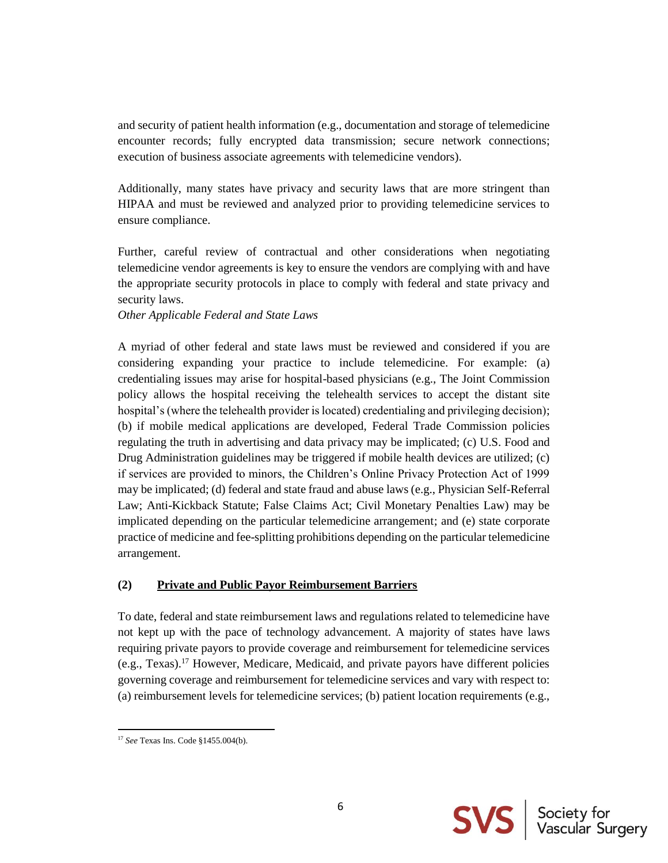and security of patient health information (e.g., documentation and storage of telemedicine encounter records; fully encrypted data transmission; secure network connections; execution of business associate agreements with telemedicine vendors).

Additionally, many states have privacy and security laws that are more stringent than HIPAA and must be reviewed and analyzed prior to providing telemedicine services to ensure compliance.

Further, careful review of contractual and other considerations when negotiating telemedicine vendor agreements is key to ensure the vendors are complying with and have the appropriate security protocols in place to comply with federal and state privacy and security laws.

#### *Other Applicable Federal and State Laws*

A myriad of other federal and state laws must be reviewed and considered if you are considering expanding your practice to include telemedicine. For example: (a) credentialing issues may arise for hospital-based physicians (e.g., The Joint Commission policy allows the hospital receiving the telehealth services to accept the distant site hospital's (where the telehealth provider is located) credentialing and privileging decision); (b) if mobile medical applications are developed, Federal Trade Commission policies regulating the truth in advertising and data privacy may be implicated; (c) U.S. Food and Drug Administration guidelines may be triggered if mobile health devices are utilized; (c) if services are provided to minors, the Children's Online Privacy Protection Act of 1999 may be implicated; (d) federal and state fraud and abuse laws (e.g., Physician Self-Referral Law; Anti-Kickback Statute; False Claims Act; Civil Monetary Penalties Law) may be implicated depending on the particular telemedicine arrangement; and (e) state corporate practice of medicine and fee-splitting prohibitions depending on the particular telemedicine arrangement.

### **(2) Private and Public Payor Reimbursement Barriers**

To date, federal and state reimbursement laws and regulations related to telemedicine have not kept up with the pace of technology advancement. A majority of states have laws requiring private payors to provide coverage and reimbursement for telemedicine services (e.g., Texas).<sup>17</sup> However, Medicare, Medicaid, and private payors have different policies governing coverage and reimbursement for telemedicine services and vary with respect to: (a) reimbursement levels for telemedicine services; (b) patient location requirements (e.g.,



 $\overline{\phantom{a}}$ <sup>17</sup> *See* Texas Ins. Code §1455.004(b).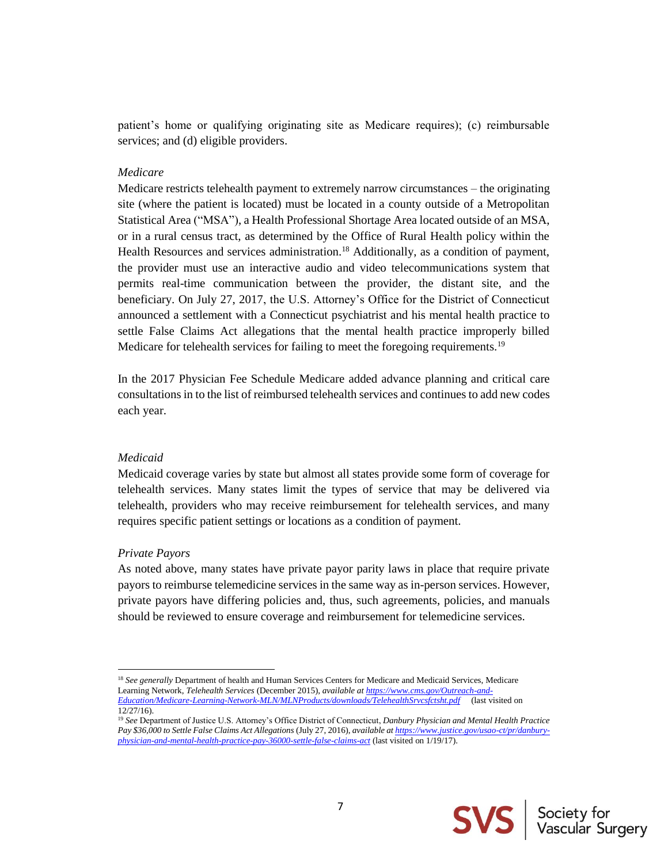patient's home or qualifying originating site as Medicare requires); (c) reimbursable services; and (d) eligible providers.

#### *Medicare*

Medicare restricts telehealth payment to extremely narrow circumstances – the originating site (where the patient is located) must be located in a county outside of a Metropolitan Statistical Area ("MSA"), a Health Professional Shortage Area located outside of an MSA, or in a rural census tract, as determined by the Office of Rural Health policy within the Health Resources and services administration.<sup>18</sup> Additionally, as a condition of payment, the provider must use an interactive audio and video telecommunications system that permits real-time communication between the provider, the distant site, and the beneficiary. On July 27, 2017, the U.S. Attorney's Office for the District of Connecticut announced a settlement with a Connecticut psychiatrist and his mental health practice to settle False Claims Act allegations that the mental health practice improperly billed Medicare for telehealth services for failing to meet the foregoing requirements.<sup>19</sup>

In the 2017 Physician Fee Schedule Medicare added advance planning and critical care consultations in to the list of reimbursed telehealth services and continues to add new codes each year.

#### *Medicaid*

Medicaid coverage varies by state but almost all states provide some form of coverage for telehealth services. Many states limit the types of service that may be delivered via telehealth, providers who may receive reimbursement for telehealth services, and many requires specific patient settings or locations as a condition of payment.

#### *Private Payors*

 $\overline{\phantom{a}}$ 

As noted above, many states have private payor parity laws in place that require private payors to reimburse telemedicine services in the same way as in-person services. However, private payors have differing policies and, thus, such agreements, policies, and manuals should be reviewed to ensure coverage and reimbursement for telemedicine services.



<sup>&</sup>lt;sup>18</sup> See generally Department of health and Human Services Centers for Medicare and Medicaid Services, Medicare Learning Network, *Telehealth Services* (December 2015), *available a[t https://www.cms.gov/Outreach-and-](https://www.cms.gov/Outreach-and-Education/Medicare-Learning-Network-MLN/MLNProducts/downloads/TelehealthSrvcsfctsht.pdf)[Education/Medicare-Learning-Network-MLN/MLNProducts/downloads/TelehealthSrvcsfctsht.pdf](https://www.cms.gov/Outreach-and-Education/Medicare-Learning-Network-MLN/MLNProducts/downloads/TelehealthSrvcsfctsht.pdf)* (last visited on 12/27/16).

<sup>19</sup> *See* Department of Justice U.S. Attorney's Office District of Connecticut, *Danbury Physician and Mental Health Practice*  Pay \$36,000 to Settle False Claims Act Allegations (July 27, 2016), *available a[t https://www.justice.gov/usao-ct/pr/danbury](https://www.justice.gov/usao-ct/pr/danbury-physician-and-mental-health-practice-pay-36000-settle-false-claims-act)[physician-and-mental-health-practice-pay-36000-settle-false-claims-act](https://www.justice.gov/usao-ct/pr/danbury-physician-and-mental-health-practice-pay-36000-settle-false-claims-act)* (last visited on 1/19/17).